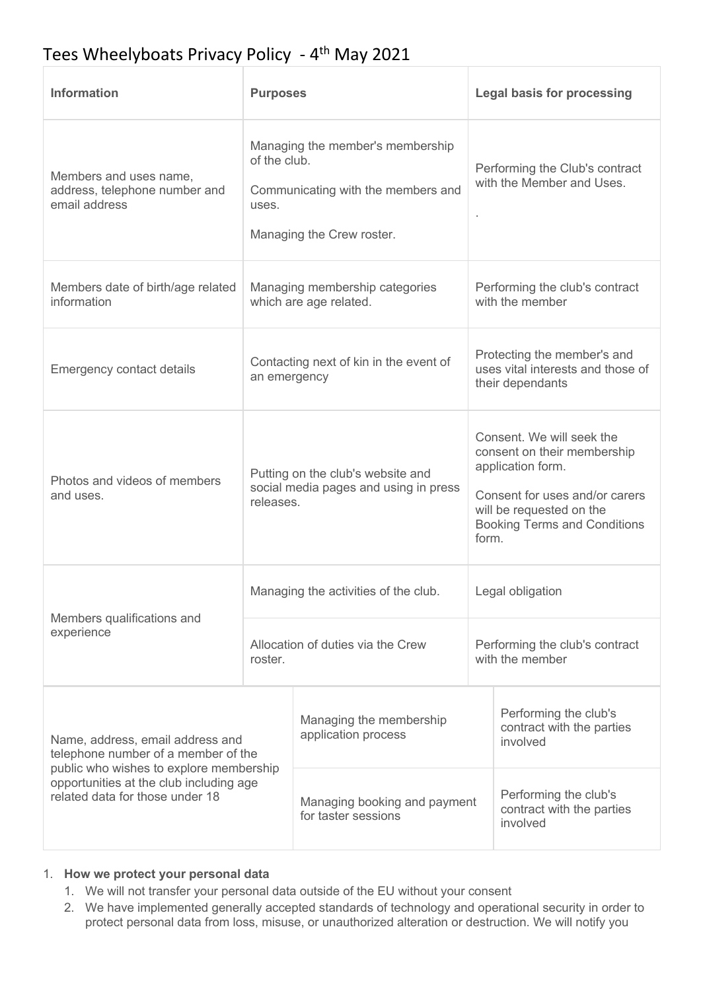# Tees Wheelyboats Privacy Policy - 4<sup>th</sup> May 2021

| <b>Information</b>                                                                                                                                                                               | <b>Purposes</b>                                                                                                              |                                                     | <b>Legal basis for processing</b>                 |                                                                                                                                                                                             |  |
|--------------------------------------------------------------------------------------------------------------------------------------------------------------------------------------------------|------------------------------------------------------------------------------------------------------------------------------|-----------------------------------------------------|---------------------------------------------------|---------------------------------------------------------------------------------------------------------------------------------------------------------------------------------------------|--|
| Members and uses name,<br>address, telephone number and<br>email address                                                                                                                         | Managing the member's membership<br>of the club.<br>Communicating with the members and<br>uses.<br>Managing the Crew roster. |                                                     |                                                   | Performing the Club's contract<br>with the Member and Uses.                                                                                                                                 |  |
| Members date of birth/age related<br>information                                                                                                                                                 | Managing membership categories<br>which are age related.                                                                     |                                                     |                                                   | Performing the club's contract<br>with the member                                                                                                                                           |  |
| <b>Emergency contact details</b>                                                                                                                                                                 | Contacting next of kin in the event of<br>an emergency                                                                       |                                                     |                                                   | Protecting the member's and<br>uses vital interests and those of<br>their dependants                                                                                                        |  |
| Photos and videos of members<br>and uses.                                                                                                                                                        | Putting on the club's website and<br>social media pages and using in press<br>releases.                                      |                                                     |                                                   | Consent. We will seek the<br>consent on their membership<br>application form.<br>Consent for uses and/or carers<br>will be requested on the<br><b>Booking Terms and Conditions</b><br>form. |  |
| Members qualifications and<br>experience                                                                                                                                                         | Managing the activities of the club.                                                                                         |                                                     | Legal obligation                                  |                                                                                                                                                                                             |  |
|                                                                                                                                                                                                  | Allocation of duties via the Crew<br>roster.                                                                                 |                                                     | Performing the club's contract<br>with the member |                                                                                                                                                                                             |  |
| Name, address, email address and<br>telephone number of a member of the<br>public who wishes to explore membership<br>opportunities at the club including age<br>related data for those under 18 |                                                                                                                              | Managing the membership<br>application process      |                                                   | Performing the club's<br>contract with the parties<br>involved                                                                                                                              |  |
|                                                                                                                                                                                                  |                                                                                                                              | Managing booking and payment<br>for taster sessions |                                                   | Performing the club's<br>contract with the parties<br>involved                                                                                                                              |  |

#### 1. **How we protect your personal data**

- 1. We will not transfer your personal data outside of the EU without your consent
- 2. We have implemented generally accepted standards of technology and operational security in order to protect personal data from loss, misuse, or unauthorized alteration or destruction. We will notify you